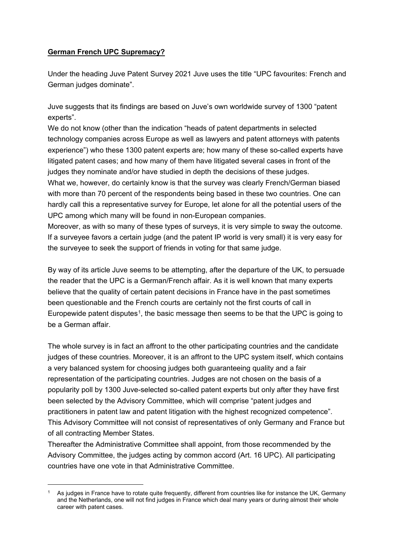## **German French UPC Supremacy?**

Under the heading Juve Patent Survey 2021 Juve uses the title "UPC favourites: French and German judges dominate".

Juve suggests that its findings are based on Juve's own worldwide survey of 1300 "patent experts".

We do not know (other than the indication "heads of patent departments in selected technology companies across Europe as well as lawyers and patent attorneys with patents experience") who these 1300 patent experts are; how many of these so-called experts have litigated patent cases; and how many of them have litigated several cases in front of the judges they nominate and/or have studied in depth the decisions of these judges.

What we, however, do certainly know is that the survey was clearly French/German biased with more than 70 percent of the respondents being based in these two countries. One can hardly call this a representative survey for Europe, let alone for all the potential users of the UPC among which many will be found in non-European companies.

Moreover, as with so many of these types of surveys, it is very simple to sway the outcome. If a surveyee favors a certain judge (and the patent IP world is very small) it is very easy for the surveyee to seek the support of friends in voting for that same judge.

By way of its article Juve seems to be attempting, after the departure of the UK, to persuade the reader that the UPC is a German/French affair. As it is well known that many experts believe that the quality of certain patent decisions in France have in the past sometimes been questionable and the French courts are certainly not the first courts of call in Europewide patent disputes<sup>[1](#page-0-0)</sup>, the basic message then seems to be that the UPC is going to be a German affair.

The whole survey is in fact an affront to the other participating countries and the candidate iudges of these countries. Moreover, it is an affront to the UPC system itself, which contains a very balanced system for choosing judges both guaranteeing quality and a fair representation of the participating countries. Judges are not chosen on the basis of a popularity poll by 1300 Juve-selected so-called patent experts but only after they have first been selected by the Advisory Committee, which will comprise "patent judges and practitioners in patent law and patent litigation with the highest recognized competence". This Advisory Committee will not consist of representatives of only Germany and France but of all contracting Member States.

Thereafter the Administrative Committee shall appoint, from those recommended by the Advisory Committee, the judges acting by common accord (Art. 16 UPC). All participating countries have one vote in that Administrative Committee.

<span id="page-0-0"></span>As judges in France have to rotate quite frequently, different from countries like for instance the UK, Germany and the Netherlands, one will not find judges in France which deal many years or during almost their whole career with patent cases.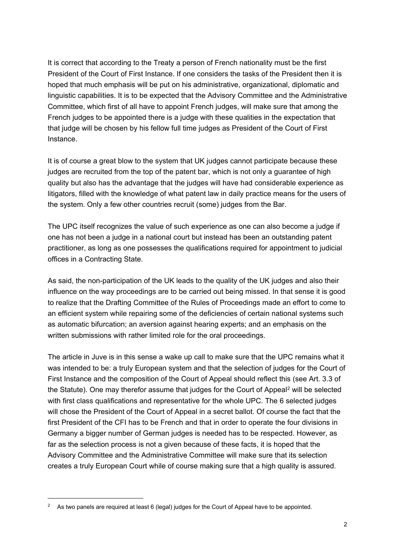It is correct that according to the Treaty a person of French nationality must be the first President of the Court of First Instance. If one considers the tasks of the President then it is hoped that much emphasis will be put on his administrative, organizational, diplomatic and linguistic capabilities. It is to be expected that the Advisory Committee and the Administrative Committee, which first of all have to appoint French judges, will make sure that among the French judges to be appointed there is a judge with these qualities in the expectation that that judge will be chosen by his fellow full time judges as President of the Court of First Instance.

It is of course a great blow to the system that UK judges cannot participate because these judges are recruited from the top of the patent bar, which is not only a guarantee of high quality but also has the advantage that the judges will have had considerable experience as litigators, filled with the knowledge of what patent law in daily practice means for the users of the system. Only a few other countries recruit (some) judges from the Bar.

The UPC itself recognizes the value of such experience as one can also become a judge if one has not been a judge in a national court but instead has been an outstanding patent practitioner, as long as one possesses the qualifications required for appointment to judicial offices in a Contracting State.

As said, the non-participation of the UK leads to the quality of the UK judges and also their influence on the way proceedings are to be carried out being missed. In that sense it is good to realize that the Drafting Committee of the Rules of Proceedings made an effort to come to an efficient system while repairing some of the deficiencies of certain national systems such as automatic bifurcation; an aversion against hearing experts; and an emphasis on the written submissions with rather limited role for the oral proceedings.

The article in Juve is in this sense a wake up call to make sure that the UPC remains what it was intended to be: a truly European system and that the selection of judges for the Court of First Instance and the composition of the Court of Appeal should reflect this (see Art. 3.3 of the Statute). One may therefor assume that judges for the Court of Appeal<sup>[2](#page-1-0)</sup> will be selected with first class qualifications and representative for the whole UPC. The 6 selected judges will chose the President of the Court of Appeal in a secret ballot. Of course the fact that the first President of the CFI has to be French and that in order to operate the four divisions in Germany a bigger number of German judges is needed has to be respected. However, as far as the selection process is not a given because of these facts, it is hoped that the Advisory Committee and the Administrative Committee will make sure that its selection creates a truly European Court while of course making sure that a high quality is assured.

<span id="page-1-0"></span><sup>&</sup>lt;sup>2</sup> As two panels are required at least 6 (legal) judges for the Court of Appeal have to be appointed.